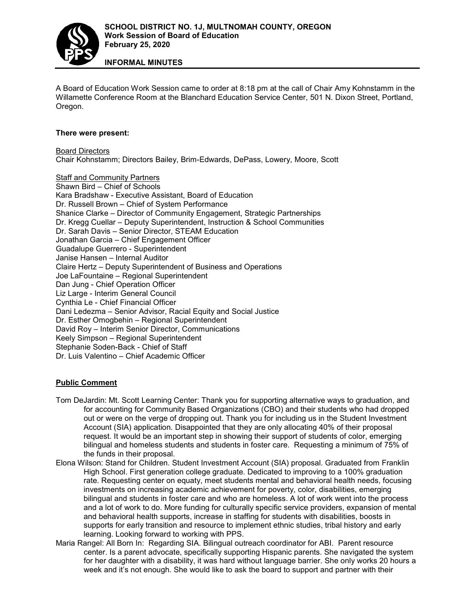

**INFORMAL MINUTES**

A Board of Education Work Session came to order at 8:18 pm at the call of Chair Amy Kohnstamm in the Willamette Conference Room at the Blanchard Education Service Center, 501 N. Dixon Street, Portland, Oregon.

## **There were present:**

Board Directors Chair Kohnstamm; Directors Bailey, Brim-Edwards, DePass, Lowery, Moore, Scott

Staff and Community Partners Shawn Bird – Chief of Schools Kara Bradshaw - Executive Assistant, Board of Education Dr. Russell Brown – Chief of System Performance Shanice Clarke – Director of Community Engagement, Strategic Partnerships Dr. Kregg Cuellar – Deputy Superintendent, Instruction & School Communities Dr. Sarah Davis – Senior Director, STEAM Education Jonathan Garcia – Chief Engagement Officer Guadalupe Guerrero - Superintendent Janise Hansen – Internal Auditor Claire Hertz – Deputy Superintendent of Business and Operations Joe LaFountaine – Regional Superintendent Dan Jung - Chief Operation Officer Liz Large - Interim General Council Cynthia Le - Chief Financial Officer Dani Ledezma – Senior Advisor, Racial Equity and Social Justice Dr. Esther Omogbehin – Regional Superintendent David Roy – Interim Senior Director, Communications Keely Simpson – Regional Superintendent Stephanie Soden-Back - Chief of Staff Dr. Luis Valentino – Chief Academic Officer

## **Public Comment**

- Tom DeJardin: Mt. Scott Learning Center: Thank you for supporting alternative ways to graduation, and for accounting for Community Based Organizations (CBO) and their students who had dropped out or were on the verge of dropping out. Thank you for including us in the Student Investment Account (SIA) application. Disappointed that they are only allocating 40% of their proposal request. It would be an important step in showing their support of students of color, emerging bilingual and homeless students and students in foster care. Requesting a minimum of 75% of the funds in their proposal.
- Elona Wilson: Stand for Children. Student Investment Account (SIA) proposal. Graduated from Franklin High School. First generation college graduate. Dedicated to improving to a 100% graduation rate. Requesting center on equaty, meet students mental and behavioral health needs, focusing investments on increasing academic achievement for poverty, color, disabilities, emerging bilingual and students in foster care and who are homeless. A lot of work went into the process and a lot of work to do. More funding for culturally specific service providers, expansion of mental and behavioral health supports, increase in staffing for students with disabilities, boosts in supports for early transition and resource to implement ethnic studies, tribal history and early learning. Looking forward to working with PPS.
- Maria Rangel: All Born In: Regarding SIA. Bilingual outreach coordinator for ABI. Parent resource center. Is a parent advocate, specifically supporting Hispanic parents. She navigated the system for her daughter with a disability, it was hard without language barrier. She only works 20 hours a week and it's not enough. She would like to ask the board to support and partner with their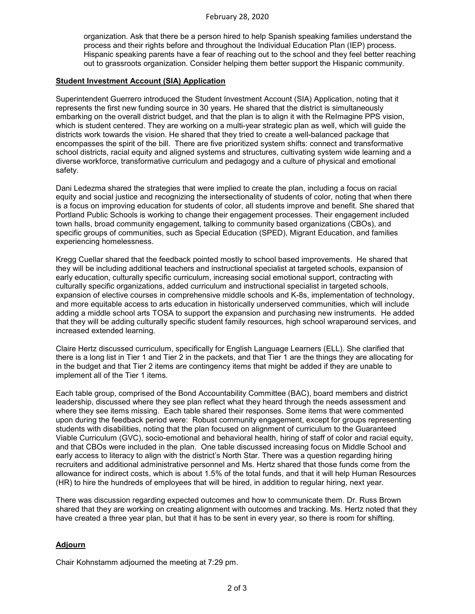organization. Ask that there be a person hired to help Spanish speaking families understand the process and their rights before and throughout the Individual Education Plan (IEP) process. Hispanic speaking parents have a fear of reaching out to the school and they feel better reaching out to grassroots organization. Consider helping them better support the Hispanic community.

## **Student Investment Account (SIA) Application**

Superintendent Guerrero introduced the Student Investment Account (SIA) Application, noting that it represents the first new funding source in 30 years. He shared that the district is simultaneously embarking on the overall district budget, and that the plan is to align it with the ReImagine PPS vision, which is student centered. They are working on a multi-year strategic plan as well, which will guide the districts work towards the vision. He shared that they tried to create a well-balanced package that encompasses the spirit of the bill. There are five prioritized system shifts: connect and transformative school districts, racial equity and aligned systems and structures, cultivating system wide learning and a diverse workforce, transformative curriculum and pedagogy and a culture of physical and emotional safety.

Dani Ledezma shared the strategies that were implied to create the plan, including a focus on racial equity and social justice and recognizing the intersectionality of students of color, noting that when there is a focus on improving education for students of color, all students improve and benefit. She shared that Portland Public Schools is working to change their engagement processes. Their engagement included town halls, broad community engagement, talking to community based organizations (CBOs), and specific groups of communities, such as Special Education (SPED), Migrant Education, and families experiencing homelessness.

Kregg Cuellar shared that the feedback pointed mostly to school based improvements. He shared that they will be including additional teachers and instructional specialist at targeted schools, expansion of early education, culturally specific curriculum, increasing social emotional support, contracting with culturally specific organizations, added curriculum and instructional specialist in targeted schools, expansion of elective courses in comprehensive middle schools and K-8s, implementation of technology, and more equitable access to arts education in historically underserved communities, which will include adding a middle school arts TOSA to support the expansion and purchasing new instruments. He added that they will be adding culturally specific student family resources, high school wraparound services, and increased extended learning.

Claire Hertz discussed curriculum, specifically for English Language Learners (ELL). She clarified that there is a long list in Tier 1 and Tier 2 in the packets, and that Tier 1 are the things they are allocating for in the budget and that Tier 2 items are contingency items that might be added if they are unable to implement all of the Tier 1 items.

Each table group, comprised of the Bond Accountability Committee (BAC), board members and district leadership, discussed where they see plan reflect what they heard through the needs assessment and where they see items missing. Each table shared their responses. Some items that were commented upon during the feedback period were: Robust community engagement, except for groups representing students with disabilities, noting that the plan focused on alignment of curriculum to the Guaranteed Viable Curriculum (GVC), socio-emotional and behavioral health, hiring of staff of color and racial equity, and that CBOs were included in the plan. One table discussed increasing focus on Middle School and early access to literacy to align with the district's North Star. There was a question regarding hiring recruiters and additional administrative personnel and Ms. Hertz shared that those funds come from the allowance for indirect costs, which is about 1.5% of the total funds, and that it will help Human Resources (HR) to hire the hundreds of employees that will be hired, in addition to regular hiring, next year.

There was discussion regarding expected outcomes and how to communicate them. Dr. Russ Brown shared that they are working on creating alignment with outcomes and tracking. Ms. Hertz noted that they have created a three year plan, but that it has to be sent in every year, so there is room for shifting.

## **Adjourn**

Chair Kohnstamm adjourned the meeting at 7:29 pm.